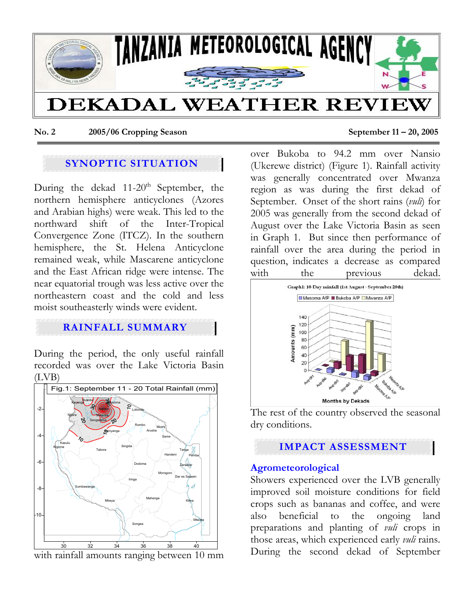

**No. 2 2005/06 Cropping Season September 11 – 20, 2005** 

# **SYNOPTIC SITUATION**

During the dekad  $11{\text -}20^{\text{th}}$  September, the northern hemisphere anticyclones (Azores and Arabian highs) were weak. This led to the northward shift of the Inter-Tropical Convergence Zone (ITCZ). In the southern hemisphere, the St. Helena Anticyclone remained weak, while Mascarene anticyclone and the East African ridge were intense. The near equatorial trough was less active over the northeastern coast and the cold and less moist southeasterly winds were evident.

## **RAINFALL SUMMARY**

During the period, the only useful rainfall recorded was over the Lake Victoria Basin (LVB)



with rainfall amounts ranging between 10 mm

over Bukoba to 94.2 mm over Nansio (Ukerewe district) (Figure 1). Rainfall activity was generally concentrated over Mwanza region as was during the first dekad of September. Onset of the short rains (*vuli*) for 2005 was generally from the second dekad of August over the Lake Victoria Basin as seen in Graph 1. But since then performance of rainfall over the area during the period in question, indicates a decrease as compared with the previous dekad.



Months by Dekads<br>The rest of the country observed the seasonal dry conditions.

## **IMPACT ASSESSMENT**

#### **Agrometeorological**

Showers experienced over the LVB generally improved soil moisture conditions for field crops such as bananas and coffee, and were also beneficial to the ongoing land preparations and planting of *vuli* crops in those areas, which experienced early *vuli* rains. During the second dekad of September